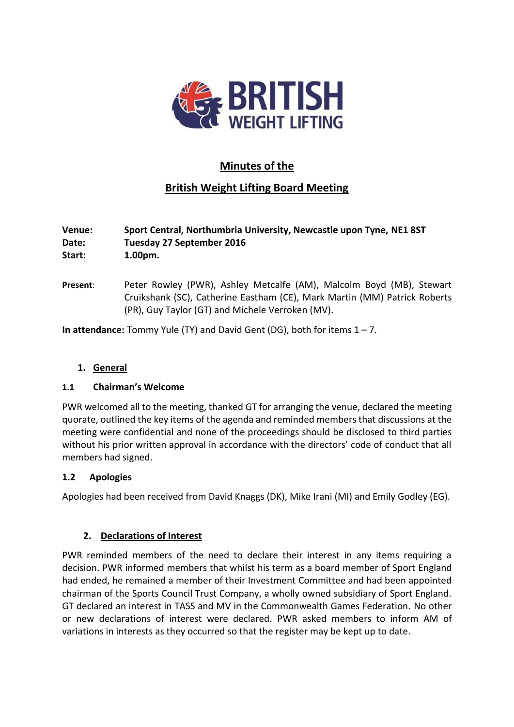

# **Minutes of the**

# **British Weight Lifting Board Meeting**

| Venue: | Sport Central, Northumbria University, Newcastle upon Tyne, NE1 8ST |
|--------|---------------------------------------------------------------------|
| Date:  | Tuesday 27 September 2016                                           |
| Start: | $1.00pm$ .                                                          |

**Present**: Peter Rowley (PWR), Ashley Metcalfe (AM), Malcolm Boyd (MB), Stewart Cruikshank (SC), Catherine Eastham (CE), Mark Martin (MM) Patrick Roberts (PR), Guy Taylor (GT) and Michele Verroken (MV).

**In attendance:** Tommy Yule (TY) and David Gent (DG), both for items 1 – 7.

# **1. General**

#### **1.1 Chairman's Welcome**

PWR welcomed all to the meeting, thanked GT for arranging the venue, declared the meeting quorate, outlined the key items of the agenda and reminded members that discussions at the meeting were confidential and none of the proceedings should be disclosed to third parties without his prior written approval in accordance with the directors' code of conduct that all members had signed.

#### **1.2 Apologies**

Apologies had been received from David Knaggs (DK), Mike Irani (MI) and Emily Godley (EG).

#### **2. Declarations of Interest**

PWR reminded members of the need to declare their interest in any items requiring a decision. PWR informed members that whilst his term as a board member of Sport England had ended, he remained a member of their Investment Committee and had been appointed chairman of the Sports Council Trust Company, a wholly owned subsidiary of Sport England. GT declared an interest in TASS and MV in the Commonwealth Games Federation. No other or new declarations of interest were declared. PWR asked members to inform AM of variations in interests as they occurred so that the register may be kept up to date.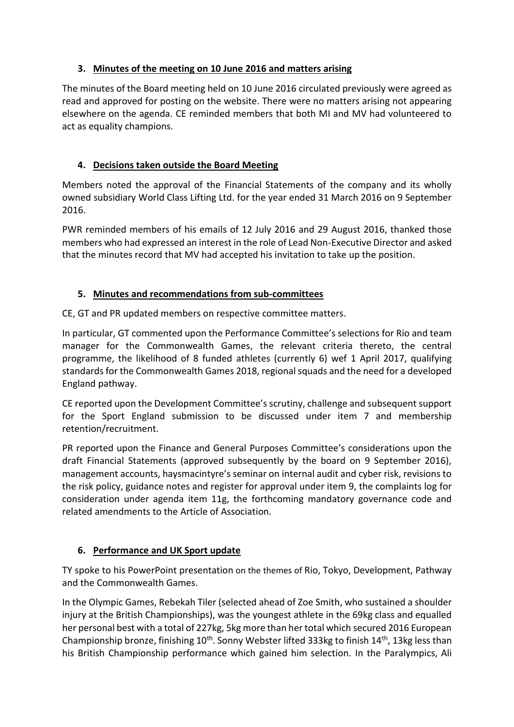# **3. Minutes of the meeting on 10 June 2016 and matters arising**

The minutes of the Board meeting held on 10 June 2016 circulated previously were agreed as read and approved for posting on the website. There were no matters arising not appearing elsewhere on the agenda. CE reminded members that both MI and MV had volunteered to act as equality champions.

# **4. Decisions taken outside the Board Meeting**

Members noted the approval of the Financial Statements of the company and its wholly owned subsidiary World Class Lifting Ltd. for the year ended 31 March 2016 on 9 September 2016.

PWR reminded members of his emails of 12 July 2016 and 29 August 2016, thanked those members who had expressed an interest in the role of Lead Non-Executive Director and asked that the minutes record that MV had accepted his invitation to take up the position.

# **5. Minutes and recommendations from sub-committees**

CE, GT and PR updated members on respective committee matters.

In particular, GT commented upon the Performance Committee's selections for Rio and team manager for the Commonwealth Games, the relevant criteria thereto, the central programme, the likelihood of 8 funded athletes (currently 6) wef 1 April 2017, qualifying standards for the Commonwealth Games 2018, regional squads and the need for a developed England pathway.

CE reported upon the Development Committee's scrutiny, challenge and subsequent support for the Sport England submission to be discussed under item 7 and membership retention/recruitment.

PR reported upon the Finance and General Purposes Committee's considerations upon the draft Financial Statements (approved subsequently by the board on 9 September 2016), management accounts, haysmacintyre's seminar on internal audit and cyber risk, revisions to the risk policy, guidance notes and register for approval under item 9, the complaints log for consideration under agenda item 11g, the forthcoming mandatory governance code and related amendments to the Article of Association.

#### **6. Performance and UK Sport update**

TY spoke to his PowerPoint presentation on the themes of Rio, Tokyo, Development, Pathway and the Commonwealth Games.

In the Olympic Games, Rebekah Tiler (selected ahead of Zoe Smith, who sustained a shoulder injury at the British Championships), was the youngest athlete in the 69kg class and equalled her personal best with a total of 227kg, 5kg more than her total which secured 2016 European Championship bronze, finishing 10<sup>th</sup>. Sonny Webster lifted 333kg to finish 14<sup>th</sup>, 13kg less than his British Championship performance which gained him selection. In the Paralympics, Ali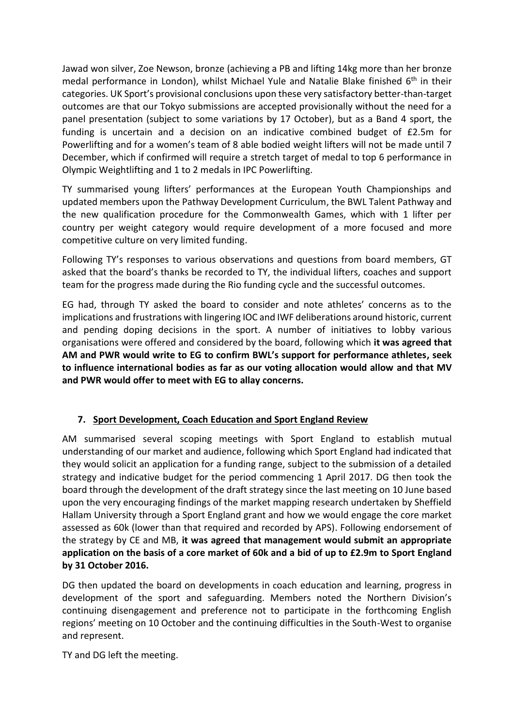Jawad won silver, Zoe Newson, bronze (achieving a PB and lifting 14kg more than her bronze medal performance in London), whilst Michael Yule and Natalie Blake finished 6<sup>th</sup> in their categories. UK Sport's provisional conclusions upon these very satisfactory better-than-target outcomes are that our Tokyo submissions are accepted provisionally without the need for a panel presentation (subject to some variations by 17 October), but as a Band 4 sport, the funding is uncertain and a decision on an indicative combined budget of £2.5m for Powerlifting and for a women's team of 8 able bodied weight lifters will not be made until 7 December, which if confirmed will require a stretch target of medal to top 6 performance in Olympic Weightlifting and 1 to 2 medals in IPC Powerlifting.

TY summarised young lifters' performances at the European Youth Championships and updated members upon the Pathway Development Curriculum, the BWL Talent Pathway and the new qualification procedure for the Commonwealth Games, which with 1 lifter per country per weight category would require development of a more focused and more competitive culture on very limited funding.

Following TY's responses to various observations and questions from board members, GT asked that the board's thanks be recorded to TY, the individual lifters, coaches and support team for the progress made during the Rio funding cycle and the successful outcomes.

EG had, through TY asked the board to consider and note athletes' concerns as to the implications and frustrations with lingering IOC and IWF deliberations around historic, current and pending doping decisions in the sport. A number of initiatives to lobby various organisations were offered and considered by the board, following which **it was agreed that AM and PWR would write to EG to confirm BWL's support for performance athletes, seek to influence international bodies as far as our voting allocation would allow and that MV and PWR would offer to meet with EG to allay concerns.**

# **7. Sport Development, Coach Education and Sport England Review**

AM summarised several scoping meetings with Sport England to establish mutual understanding of our market and audience, following which Sport England had indicated that they would solicit an application for a funding range, subject to the submission of a detailed strategy and indicative budget for the period commencing 1 April 2017. DG then took the board through the development of the draft strategy since the last meeting on 10 June based upon the very encouraging findings of the market mapping research undertaken by Sheffield Hallam University through a Sport England grant and how we would engage the core market assessed as 60k (lower than that required and recorded by APS). Following endorsement of the strategy by CE and MB, **it was agreed that management would submit an appropriate application on the basis of a core market of 60k and a bid of up to £2.9m to Sport England by 31 October 2016.**

DG then updated the board on developments in coach education and learning, progress in development of the sport and safeguarding. Members noted the Northern Division's continuing disengagement and preference not to participate in the forthcoming English regions' meeting on 10 October and the continuing difficulties in the South-West to organise and represent.

TY and DG left the meeting.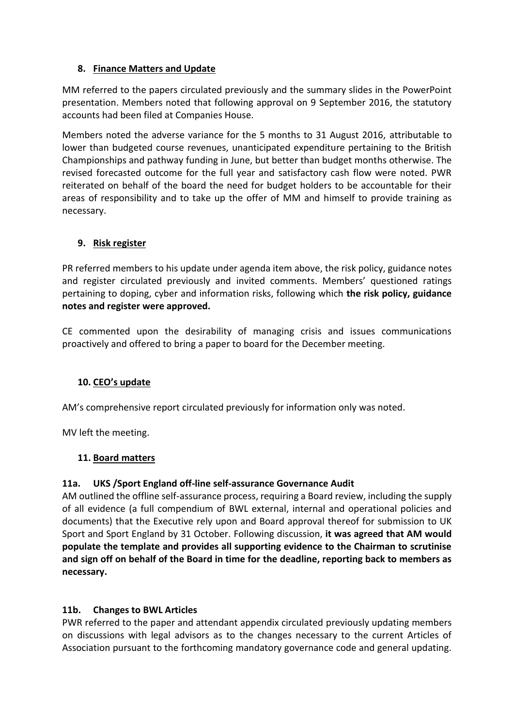## **8. Finance Matters and Update**

MM referred to the papers circulated previously and the summary slides in the PowerPoint presentation. Members noted that following approval on 9 September 2016, the statutory accounts had been filed at Companies House.

Members noted the adverse variance for the 5 months to 31 August 2016, attributable to lower than budgeted course revenues, unanticipated expenditure pertaining to the British Championships and pathway funding in June, but better than budget months otherwise. The revised forecasted outcome for the full year and satisfactory cash flow were noted. PWR reiterated on behalf of the board the need for budget holders to be accountable for their areas of responsibility and to take up the offer of MM and himself to provide training as necessary.

## **9. Risk register**

PR referred members to his update under agenda item above, the risk policy, guidance notes and register circulated previously and invited comments. Members' questioned ratings pertaining to doping, cyber and information risks, following which **the risk policy, guidance notes and register were approved.**

CE commented upon the desirability of managing crisis and issues communications proactively and offered to bring a paper to board for the December meeting.

#### **10. CEO's update**

AM's comprehensive report circulated previously for information only was noted.

MV left the meeting.

#### **11. Board matters**

#### **11a. UKS /Sport England off-line self-assurance Governance Audit**

AM outlined the offline self-assurance process, requiring a Board review, including the supply of all evidence (a full compendium of BWL external, internal and operational policies and documents) that the Executive rely upon and Board approval thereof for submission to UK Sport and Sport England by 31 October. Following discussion, **it was agreed that AM would populate the template and provides all supporting evidence to the Chairman to scrutinise and sign off on behalf of the Board in time for the deadline, reporting back to members as necessary.**

#### **11b. Changes to BWL Articles**

PWR referred to the paper and attendant appendix circulated previously updating members on discussions with legal advisors as to the changes necessary to the current Articles of Association pursuant to the forthcoming mandatory governance code and general updating.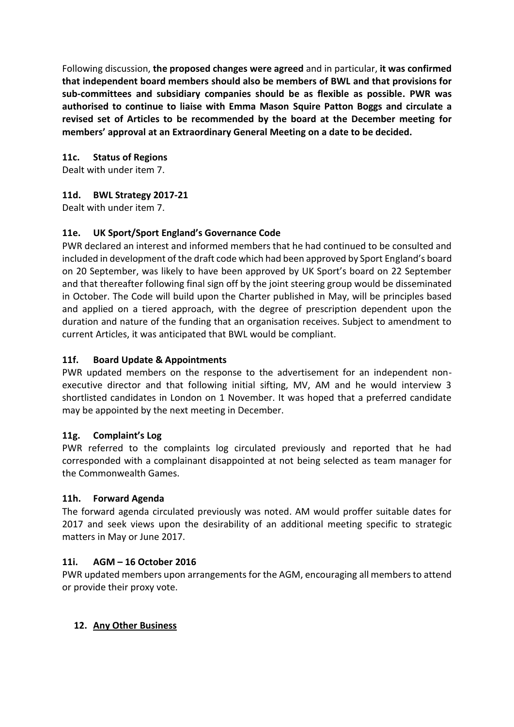Following discussion, **the proposed changes were agreed** and in particular, **it was confirmed that independent board members should also be members of BWL and that provisions for sub-committees and subsidiary companies should be as flexible as possible. PWR was authorised to continue to liaise with Emma Mason Squire Patton Boggs and circulate a revised set of Articles to be recommended by the board at the December meeting for members' approval at an Extraordinary General Meeting on a date to be decided.**

## **11c. Status of Regions**

Dealt with under item 7.

## **11d. BWL Strategy 2017-21**

Dealt with under item 7.

## **11e. UK Sport/Sport England's Governance Code**

PWR declared an interest and informed members that he had continued to be consulted and included in development of the draft code which had been approved by Sport England's board on 20 September, was likely to have been approved by UK Sport's board on 22 September and that thereafter following final sign off by the joint steering group would be disseminated in October. The Code will build upon the Charter published in May, will be principles based and applied on a tiered approach, with the degree of prescription dependent upon the duration and nature of the funding that an organisation receives. Subject to amendment to current Articles, it was anticipated that BWL would be compliant.

#### **11f. Board Update & Appointments**

PWR updated members on the response to the advertisement for an independent nonexecutive director and that following initial sifting, MV, AM and he would interview 3 shortlisted candidates in London on 1 November. It was hoped that a preferred candidate may be appointed by the next meeting in December.

#### **11g. Complaint's Log**

PWR referred to the complaints log circulated previously and reported that he had corresponded with a complainant disappointed at not being selected as team manager for the Commonwealth Games.

#### **11h. Forward Agenda**

The forward agenda circulated previously was noted. AM would proffer suitable dates for 2017 and seek views upon the desirability of an additional meeting specific to strategic matters in May or June 2017.

#### **11i. AGM – 16 October 2016**

PWR updated members upon arrangements for the AGM, encouraging all members to attend or provide their proxy vote.

#### **12. Any Other Business**